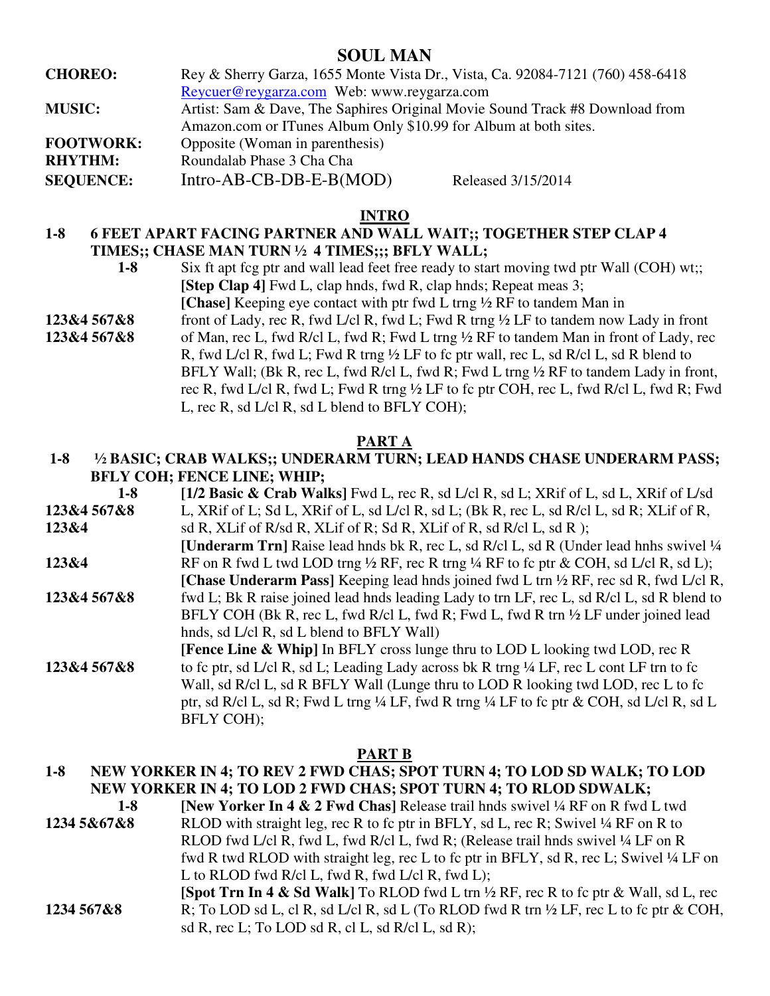## **SOUL MAN**

**CHOREO:** Rey & Sherry Garza, 1655 Monte Vista Dr., Vista, Ca. 92084-7121 (760) 458-6418 Reycuer@reygarza.com Web: www.reygarza.com **MUSIC:** Artist: Sam & Dave, The Saphires Original Movie Sound Track #8 Download from Amazon.com or ITunes Album Only \$10.99 for Album at both sites. **FOOTWORK:** Opposite (Woman in parenthesis) **RHYTHM:** Roundalab Phase 3 Cha Cha SEQUENCE: Intro-AB-CB-DB-E-B(MOD) Released 3/15/2014

### **INTRO**

## **1-8 6 FEET APART FACING PARTNER AND WALL WAIT;; TOGETHER STEP CLAP 4 TIMES;; CHASE MAN TURN ½ 4 TIMES;;; BFLY WALL;**

- 1-8 Six ft apt fcg ptr and wall lead feet free ready to start moving twd ptr Wall (COH) wt; **[Step Clap 4]** Fwd L, clap hnds, fwd R, clap hnds; Repeat meas 3;  **[Chase]** Keeping eye contact with ptr fwd L trng ½ RF to tandem Man in
- **123&4 567&8** front of Lady, rec R, fwd L/cl R, fwd L; Fwd R trng ½ LF to tandem now Lady in front **123&4 567&8** of Man, rec L, fwd R/cl L, fwd R; Fwd L trng ½ RF to tandem Man in front of Lady, rec R, fwd L/cl R, fwd L; Fwd R trng ½ LF to fc ptr wall, rec L, sd R/cl L, sd R blend to BFLY Wall; (Bk R, rec L, fwd R/cl L, fwd R; Fwd L trng 1/2 RF to tandem Lady in front, rec R, fwd L/cl R, fwd L; Fwd R trng ½ LF to fc ptr COH, rec L, fwd R/cl L, fwd R; Fwd L, rec R, sd L/cl R, sd L blend to BFLY COH);

### **PART A**

## **1-8 ½ BASIC; CRAB WALKS;; UNDERARM TURN; LEAD HANDS CHASE UNDERARM PASS; BFLY COH; FENCE LINE; WHIP;**

| $1-8$       | [1/2 Basic & Crab Walks] Fwd L, rec R, sd L/cl R, sd L; XRif of L, sd L, XRif of L/sd                           |
|-------------|-----------------------------------------------------------------------------------------------------------------|
| 123&4 567&8 | L, XRif of L; Sd L, XRif of L, sd L/cl R, sd L; (Bk R, rec L, sd R/cl L, sd R; XLif of R,                       |
| 123&4       | sd R, XLif of R/sd R, XLif of R; Sd R, XLif of R, sd R/cl L, sd R);                                             |
|             | <b>[Underarm Trn]</b> Raise lead hnds bk R, rec L, sd R/cl L, sd R (Under lead hnhs swivel 1/4                  |
| 123&4       | RF on R fwd L twd LOD trng $\frac{1}{2}$ RF, rec R trng $\frac{1}{4}$ RF to fc ptr & COH, sd L/cl R, sd L);     |
|             | [Chase Underarm Pass] Keeping lead hnds joined fwd L trn $\frac{1}{2}$ RF, rec sd R, fwd L/cl R,                |
| 123&4 567&8 | fwd L; Bk R raise joined lead hnds leading Lady to trn LF, rec L, sd R/cl L, sd R blend to                      |
|             | BFLY COH (Bk R, rec L, fwd R/cl L, fwd R; Fwd L, fwd R trn $\frac{1}{2}$ LF under joined lead                   |
|             | hnds, sd L/cl R, sd L blend to BFLY Wall)                                                                       |
|             | <b>[Fence Line &amp; Whip]</b> In BFLY cross lunge thru to LOD L looking twd LOD, rec R                         |
| 123&4 567&8 | to fc ptr, sd L/cl R, sd L; Leading Lady across bk R trng 1/4 LF, rec L cont LF trn to fc                       |
|             | Wall, sd R/cl L, sd R BFLY Wall (Lunge thru to LOD R looking twd LOD, rec L to fc                               |
|             | ptr, sd R/cl L, sd R; Fwd L trng $\frac{1}{4}$ LF, fwd R trng $\frac{1}{4}$ LF to fc ptr & COH, sd L/cl R, sd L |
|             | <b>BFLY COH):</b>                                                                                               |

#### **PART B**

## **1-8 NEW YORKER IN 4; TO REV 2 FWD CHAS; SPOT TURN 4; TO LOD SD WALK; TO LOD NEW YORKER IN 4; TO LOD 2 FWD CHAS; SPOT TURN 4; TO RLOD SDWALK;**

 **1-8 [New Yorker In 4 & 2 Fwd Chas]** Release trail hnds swivel ¼ RF on R fwd L twd **1234 5&67&8** RLOD with straight leg, rec R to fc ptr in BFLY, sd L, rec R; Swivel ¼ RF on R to RLOD fwd L/cl R, fwd L, fwd R/cl L, fwd R; (Release trail hnds swivel ¼ LF on R fwd R twd RLOD with straight leg, rec L to fc ptr in BFLY, sd R, rec L; Swivel ¼ LF on L to RLOD fwd R/cl L, fwd R, fwd L/cl R, fwd L); **[Spot Trn In 4 & Sd Walk]** To RLOD fwd L trn ½ RF, rec R to fc ptr & Wall, sd L, rec **1234 567&8** R; To LOD sd L, cl R, sd L/cl R, sd L (To RLOD fwd R trn ½ LF, rec L to fc ptr & COH, sd R, rec L; To LOD sd R, cl L, sd R/cl L, sd R);